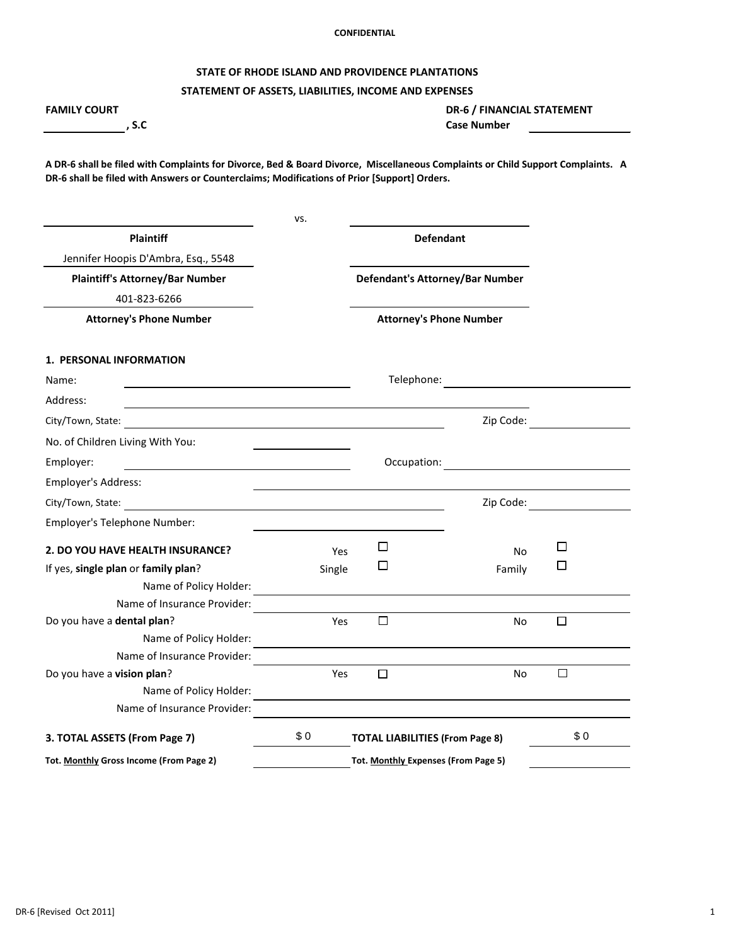## **STATE OF RHODE ISLAND AND PROVIDENCE PLANTATIONS**

# **STATEMENT OF ASSETS, LIABILITIES, INCOME AND EXPENSES**

| <b>FAMILY COURT</b><br>, S.C                                                                                                                                                                                                   |        | <b>DR-6 / FINANCIAL STATEMENT</b><br><b>Case Number</b> |           |                                              |
|--------------------------------------------------------------------------------------------------------------------------------------------------------------------------------------------------------------------------------|--------|---------------------------------------------------------|-----------|----------------------------------------------|
| A DR-6 shall be filed with Complaints for Divorce, Bed & Board Divorce, Miscellaneous Complaints or Child Support Complaints. A<br>DR-6 shall be filed with Answers or Counterclaims; Modifications of Prior [Support] Orders. |        |                                                         |           |                                              |
|                                                                                                                                                                                                                                | VS.    |                                                         |           |                                              |
| <b>Plaintiff</b>                                                                                                                                                                                                               |        | <b>Defendant</b>                                        |           |                                              |
| Jennifer Hoopis D'Ambra, Esq., 5548                                                                                                                                                                                            |        |                                                         |           |                                              |
| <b>Plaintiff's Attorney/Bar Number</b>                                                                                                                                                                                         |        | <b>Defendant's Attorney/Bar Number</b>                  |           |                                              |
| 401-823-6266                                                                                                                                                                                                                   |        |                                                         |           |                                              |
| <b>Attorney's Phone Number</b>                                                                                                                                                                                                 |        | <b>Attorney's Phone Number</b>                          |           |                                              |
| <b>1. PERSONAL INFORMATION</b>                                                                                                                                                                                                 |        |                                                         |           |                                              |
| Name:                                                                                                                                                                                                                          |        | Telephone:                                              |           |                                              |
| Address:<br>and the control of the control of the control of the control of the control of the control of the control of the                                                                                                   |        |                                                         |           |                                              |
| City/Town, State:<br><u> 1989 - Jan Samuel Barbara, martin da shekara 1980 - An tsara 1980 - An tsara 1980 - An tsara 1980 - An tsara</u>                                                                                      |        |                                                         | Zip Code: |                                              |
| No. of Children Living With You:                                                                                                                                                                                               |        |                                                         |           |                                              |
| Employer:                                                                                                                                                                                                                      |        | Occupation:                                             |           | <u> 1980 - Jan Samuel Barbara, martin di</u> |
| <b>Employer's Address:</b>                                                                                                                                                                                                     |        |                                                         |           |                                              |
| City/Town, State:                                                                                                                                                                                                              |        |                                                         | Zip Code: |                                              |
| Employer's Telephone Number:                                                                                                                                                                                                   |        |                                                         |           |                                              |
| 2. DO YOU HAVE HEALTH INSURANCE?                                                                                                                                                                                               | Yes    | □                                                       | <b>No</b> | $\Box$                                       |
| If yes, single plan or family plan?                                                                                                                                                                                            | Single | □                                                       | Family    |                                              |
| Name of Policy Holder:                                                                                                                                                                                                         |        |                                                         |           |                                              |
| Name of Insurance Provider:                                                                                                                                                                                                    |        |                                                         |           |                                              |
| Do you have a dental plan?                                                                                                                                                                                                     | Yes    | □                                                       | <b>No</b> | $\Box$                                       |
| Name of Policy Holder:<br>Name of Insurance Provider:                                                                                                                                                                          |        |                                                         |           |                                              |
| Do you have a vision plan?                                                                                                                                                                                                     | Yes    | $\Box$                                                  | No        | $\Box$                                       |
| Name of Policy Holder:                                                                                                                                                                                                         |        |                                                         |           |                                              |
| Name of Insurance Provider:                                                                                                                                                                                                    |        |                                                         |           |                                              |
| 3. TOTAL ASSETS (From Page 7)                                                                                                                                                                                                  | \$0    | <b>TOTAL LIABILITIES (From Page 8)</b>                  |           | \$0                                          |
| Tot. Monthly Gross Income (From Page 2)                                                                                                                                                                                        |        | Tot. Monthly Expenses (From Page 5)                     |           |                                              |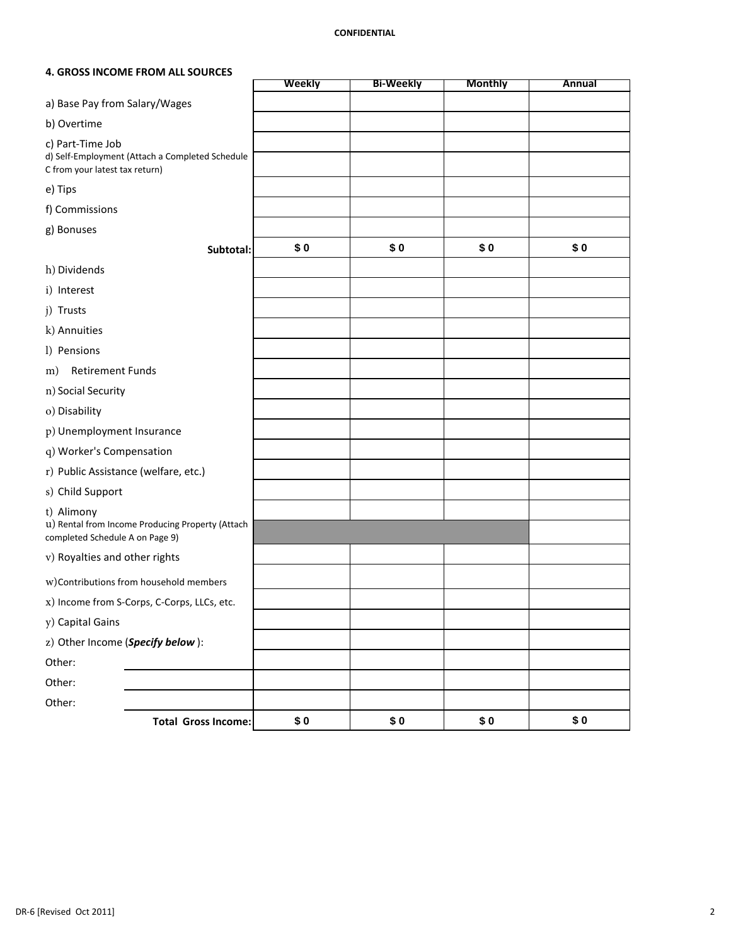### **4. GROSS INCOME FROM ALL SOURCES**

|                                                    |                                                  | <b>Weekly</b> | <b>Bi-Weekly</b> | <b>Monthly</b> | <b>Annual</b> |
|----------------------------------------------------|--------------------------------------------------|---------------|------------------|----------------|---------------|
| a) Base Pay from Salary/Wages                      |                                                  |               |                  |                |               |
| b) Overtime                                        |                                                  |               |                  |                |               |
| c) Part-Time Job<br>C from your latest tax return) | d) Self-Employment (Attach a Completed Schedule  |               |                  |                |               |
| e) Tips                                            |                                                  |               |                  |                |               |
| f) Commissions                                     |                                                  |               |                  |                |               |
| g) Bonuses                                         |                                                  |               |                  |                |               |
|                                                    | Subtotal:                                        | \$0           | \$0              | \$0            | \$0           |
| h) Dividends                                       |                                                  |               |                  |                |               |
| i) Interest                                        |                                                  |               |                  |                |               |
| j) Trusts                                          |                                                  |               |                  |                |               |
| k) Annuities                                       |                                                  |               |                  |                |               |
| 1) Pensions                                        |                                                  |               |                  |                |               |
| <b>Retirement Funds</b><br>m)                      |                                                  |               |                  |                |               |
| n) Social Security                                 |                                                  |               |                  |                |               |
| o) Disability                                      |                                                  |               |                  |                |               |
| p) Unemployment Insurance                          |                                                  |               |                  |                |               |
| q) Worker's Compensation                           |                                                  |               |                  |                |               |
|                                                    | r) Public Assistance (welfare, etc.)             |               |                  |                |               |
| s) Child Support                                   |                                                  |               |                  |                |               |
| t) Alimony<br>completed Schedule A on Page 9)      | u) Rental from Income Producing Property (Attach |               |                  |                |               |
| v) Royalties and other rights                      |                                                  |               |                  |                |               |
|                                                    | w)Contributions from household members           |               |                  |                |               |
|                                                    | x) Income from S-Corps, C-Corps, LLCs, etc.      |               |                  |                |               |
| y) Capital Gains                                   |                                                  |               |                  |                |               |
|                                                    | z) Other Income (Specify below):                 |               |                  |                |               |
| Other:                                             |                                                  |               |                  |                |               |
| Other:                                             |                                                  |               |                  |                |               |
| Other:                                             |                                                  |               |                  |                |               |
|                                                    | <b>Total Gross Income:</b>                       | \$0           | \$0              | \$0            | \$0           |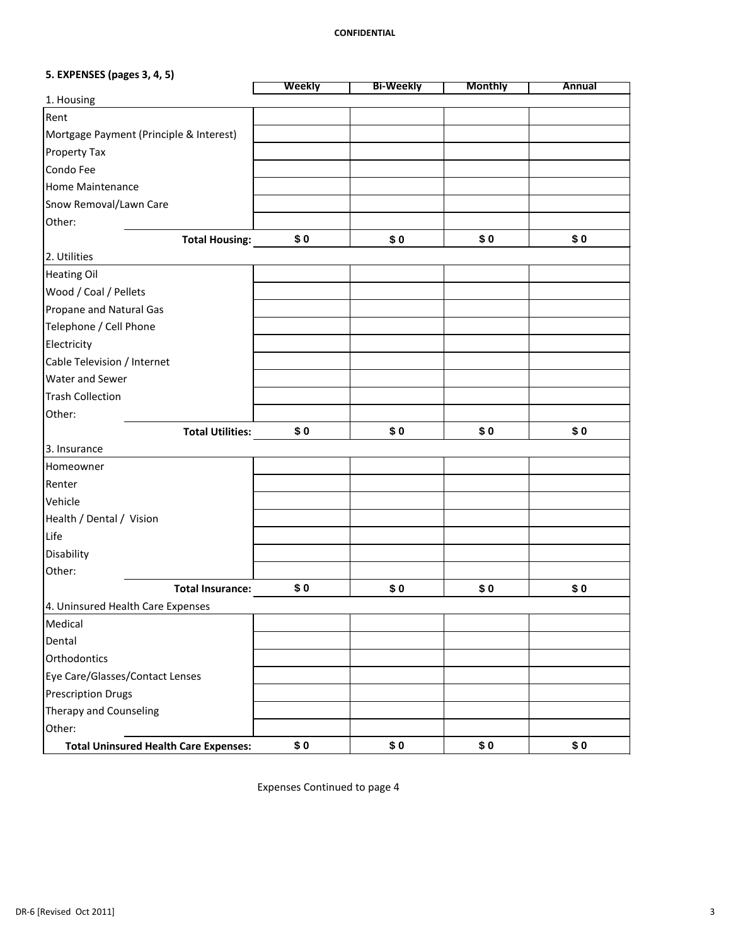# **5. EXPENSES (pages 3, 4, 5)**

|                                              | Weekly | <b>Bi-Weekly</b> | <b>Monthly</b> | <b>Annual</b> |
|----------------------------------------------|--------|------------------|----------------|---------------|
| 1. Housing                                   |        |                  |                |               |
| Rent                                         |        |                  |                |               |
| Mortgage Payment (Principle & Interest)      |        |                  |                |               |
| <b>Property Tax</b>                          |        |                  |                |               |
| Condo Fee                                    |        |                  |                |               |
| <b>Home Maintenance</b>                      |        |                  |                |               |
| Snow Removal/Lawn Care                       |        |                  |                |               |
| Other:                                       |        |                  |                |               |
| <b>Total Housing:</b>                        | \$0    | \$0              | \$0            | \$0           |
| 2. Utilities                                 |        |                  |                |               |
| <b>Heating Oil</b>                           |        |                  |                |               |
| Wood / Coal / Pellets                        |        |                  |                |               |
| <b>Propane and Natural Gas</b>               |        |                  |                |               |
| Telephone / Cell Phone                       |        |                  |                |               |
| Electricity                                  |        |                  |                |               |
| Cable Television / Internet                  |        |                  |                |               |
| Water and Sewer                              |        |                  |                |               |
| <b>Trash Collection</b>                      |        |                  |                |               |
| Other:                                       |        |                  |                |               |
| <b>Total Utilities:</b>                      | \$0    | \$0              | \$0            | \$0           |
| 3. Insurance                                 |        |                  |                |               |
| Homeowner                                    |        |                  |                |               |
| Renter                                       |        |                  |                |               |
| Vehicle                                      |        |                  |                |               |
| Health / Dental / Vision                     |        |                  |                |               |
| Life                                         |        |                  |                |               |
| Disability                                   |        |                  |                |               |
| Other:                                       |        |                  |                |               |
| <b>Total Insurance:</b>                      | \$0    | \$0              | \$0            | \$0           |
| 4. Uninsured Health Care Expenses            |        |                  |                |               |
| Medical                                      |        |                  |                |               |
| Dental                                       |        |                  |                |               |
| Orthodontics                                 |        |                  |                |               |
| Eye Care/Glasses/Contact Lenses              |        |                  |                |               |
| <b>Prescription Drugs</b>                    |        |                  |                |               |
| Therapy and Counseling                       |        |                  |                |               |
| Other:                                       |        |                  |                |               |
| <b>Total Uninsured Health Care Expenses:</b> | \$0    | \$0              | \$0            | \$0           |

Expenses Continued to page 4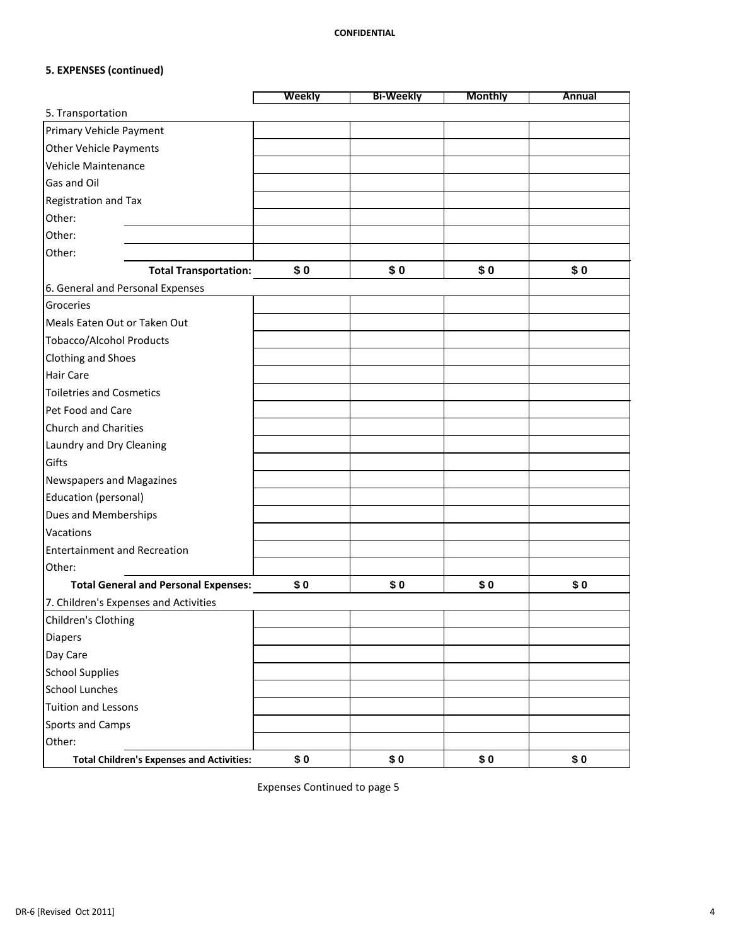# **5. EXPENSES (continued)**

|                                                  | <b>Weekly</b> | <b>Bi-Weekly</b> | <b>Monthly</b> | <b>Annual</b> |
|--------------------------------------------------|---------------|------------------|----------------|---------------|
| 5. Transportation                                |               |                  |                |               |
| <b>Primary Vehicle Payment</b>                   |               |                  |                |               |
| <b>Other Vehicle Payments</b>                    |               |                  |                |               |
| <b>Vehicle Maintenance</b>                       |               |                  |                |               |
| Gas and Oil                                      |               |                  |                |               |
| Registration and Tax                             |               |                  |                |               |
| Other:                                           |               |                  |                |               |
| Other:                                           |               |                  |                |               |
| Other:                                           |               |                  |                |               |
| <b>Total Transportation:</b>                     | \$0           | \$0              | \$0            | \$0           |
| 6. General and Personal Expenses                 |               |                  |                |               |
| Groceries                                        |               |                  |                |               |
| Meals Eaten Out or Taken Out                     |               |                  |                |               |
| <b>Tobacco/Alcohol Products</b>                  |               |                  |                |               |
| <b>Clothing and Shoes</b>                        |               |                  |                |               |
| <b>Hair Care</b>                                 |               |                  |                |               |
| <b>Toiletries and Cosmetics</b>                  |               |                  |                |               |
| Pet Food and Care                                |               |                  |                |               |
| <b>Church and Charities</b>                      |               |                  |                |               |
| Laundry and Dry Cleaning                         |               |                  |                |               |
| Gifts                                            |               |                  |                |               |
| <b>Newspapers and Magazines</b>                  |               |                  |                |               |
| Education (personal)                             |               |                  |                |               |
| Dues and Memberships                             |               |                  |                |               |
| Vacations                                        |               |                  |                |               |
| <b>Entertainment and Recreation</b>              |               |                  |                |               |
| Other:                                           |               |                  |                |               |
| <b>Total General and Personal Expenses:</b>      | \$0           | \$0              | \$0            | \$0           |
| 7. Children's Expenses and Activities            |               |                  |                |               |
| Children's Clothing                              |               |                  |                |               |
| <b>Diapers</b>                                   |               |                  |                |               |
| Day Care                                         |               |                  |                |               |
| <b>School Supplies</b>                           |               |                  |                |               |
| <b>School Lunches</b>                            |               |                  |                |               |
| <b>Tuition and Lessons</b>                       |               |                  |                |               |
| <b>Sports and Camps</b>                          |               |                  |                |               |
| Other:                                           |               |                  |                |               |
| <b>Total Children's Expenses and Activities:</b> | \$0           | \$0              | \$0            | \$0           |

Expenses Continued to page 5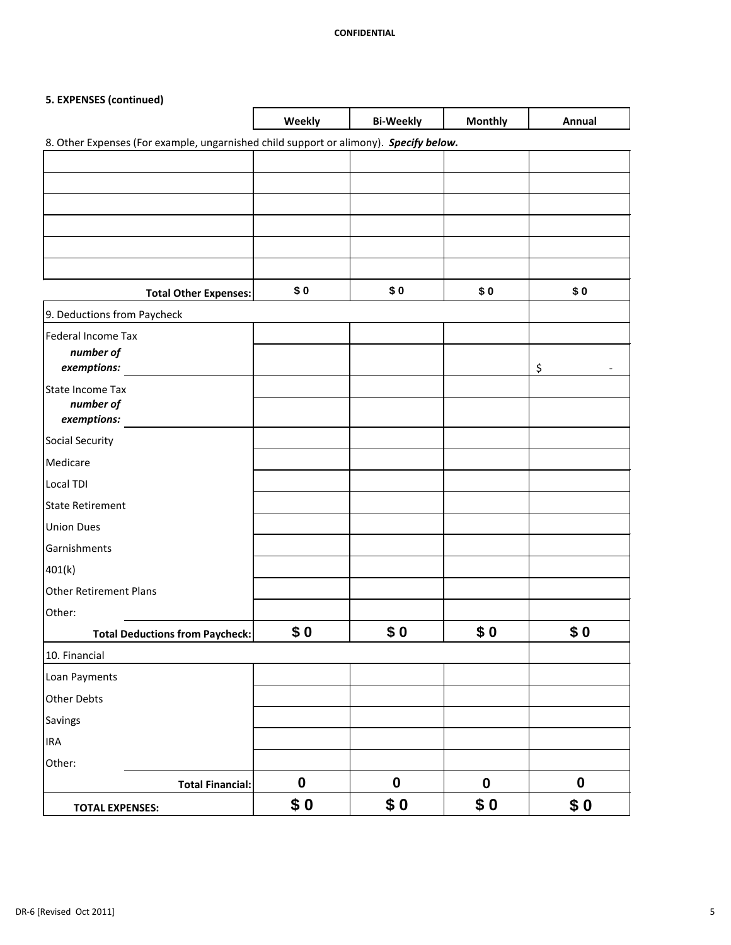# **5. EXPENSES (continued)**

|                                                                                       | Weekly           | <b>Bi-Weekly</b> | <b>Monthly</b>   | Annual                         |
|---------------------------------------------------------------------------------------|------------------|------------------|------------------|--------------------------------|
| 8. Other Expenses (For example, ungarnished child support or alimony). Specify below. |                  |                  |                  |                                |
|                                                                                       |                  |                  |                  |                                |
|                                                                                       |                  |                  |                  |                                |
|                                                                                       |                  |                  |                  |                                |
|                                                                                       |                  |                  |                  |                                |
|                                                                                       |                  |                  |                  |                                |
|                                                                                       |                  |                  |                  |                                |
| <b>Total Other Expenses:</b>                                                          | \$0              | \$0              | \$0              | \$0                            |
| 9. Deductions from Paycheck                                                           |                  |                  |                  |                                |
| Federal Income Tax                                                                    |                  |                  |                  |                                |
| number of                                                                             |                  |                  |                  |                                |
| exemptions:                                                                           |                  |                  |                  | \$<br>$\overline{\phantom{a}}$ |
| State Income Tax<br>number of                                                         |                  |                  |                  |                                |
| exemptions:                                                                           |                  |                  |                  |                                |
| <b>Social Security</b>                                                                |                  |                  |                  |                                |
| Medicare                                                                              |                  |                  |                  |                                |
| Local TDI                                                                             |                  |                  |                  |                                |
| State Retirement                                                                      |                  |                  |                  |                                |
| <b>Union Dues</b>                                                                     |                  |                  |                  |                                |
| Garnishments                                                                          |                  |                  |                  |                                |
| 401(k)                                                                                |                  |                  |                  |                                |
| <b>Other Retirement Plans</b>                                                         |                  |                  |                  |                                |
| Other:                                                                                |                  |                  |                  |                                |
| <b>Total Deductions from Paycheck:</b>                                                | \$0              | \$0              | \$0              | \$0                            |
| 10. Financial                                                                         |                  |                  |                  |                                |
| Loan Payments                                                                         |                  |                  |                  |                                |
| <b>Other Debts</b>                                                                    |                  |                  |                  |                                |
| Savings                                                                               |                  |                  |                  |                                |
| <b>IRA</b>                                                                            |                  |                  |                  |                                |
| Other:                                                                                |                  |                  |                  |                                |
| <b>Total Financial:</b>                                                               | $\boldsymbol{0}$ | $\boldsymbol{0}$ | $\boldsymbol{0}$ | $\boldsymbol{0}$               |
| <b>TOTAL EXPENSES:</b>                                                                | \$0              | \$0              | \$0              | \$0                            |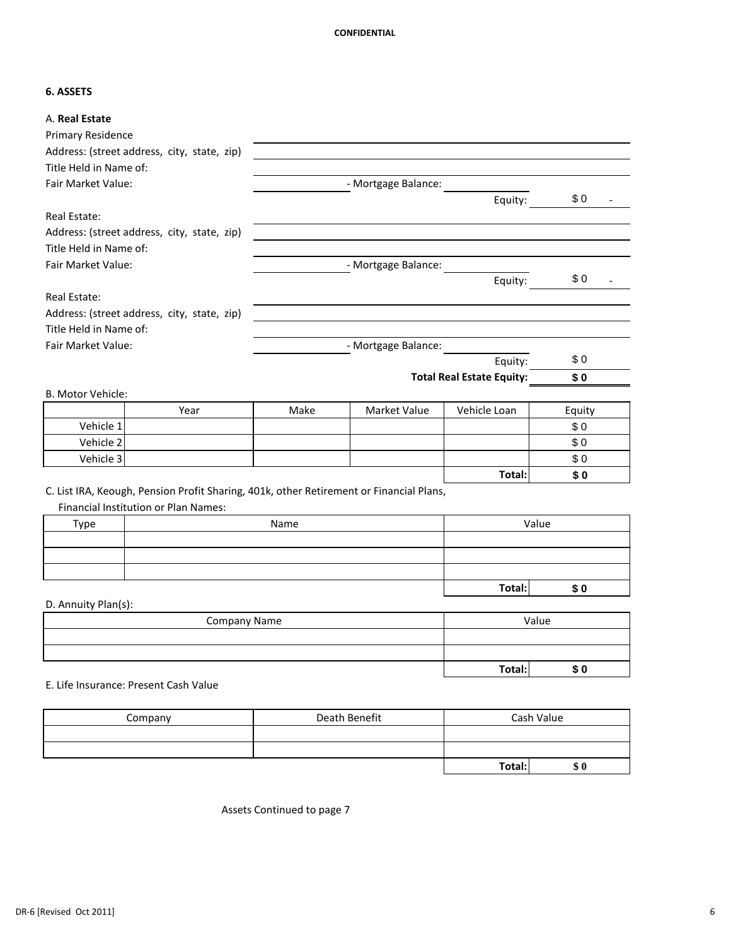### **6. ASSETS**

| Address: (street address, city, state, zip)<br>Title Held in Name of:<br>- Mortgage Balance:<br>\$0<br>Equity:<br>Address: (street address, city, state, zip)<br>Title Held in Name of:<br>- Mortgage Balance:<br>\$0<br>Equity:<br>Address: (street address, city, state, zip)<br>Title Held in Name of:<br><b>Fair Market Value:</b><br>- Mortgage Balance:<br>\$0<br>Equity:<br><b>Total Real Estate Equity:</b><br>\$0<br>Market Value<br>Vehicle Loan<br>Make<br>Year<br>Equity<br>Vehicle 1<br>\$0<br>Vehicle 2<br>\$0<br>Vehicle 3<br>\$0<br>Total:<br>\$0<br>C. List IRA, Keough, Pension Profit Sharing, 401k, other Retirement or Financial Plans,<br>Financial Institution or Plan Names:<br>Value<br>Type<br>Name<br>Total:<br>\$0<br>Value<br><b>Company Name</b><br>Total:<br>\$0<br>E. Life Insurance: Present Cash Value | A. Real Estate            |  |  |  |
|------------------------------------------------------------------------------------------------------------------------------------------------------------------------------------------------------------------------------------------------------------------------------------------------------------------------------------------------------------------------------------------------------------------------------------------------------------------------------------------------------------------------------------------------------------------------------------------------------------------------------------------------------------------------------------------------------------------------------------------------------------------------------------------------------------------------------------------|---------------------------|--|--|--|
|                                                                                                                                                                                                                                                                                                                                                                                                                                                                                                                                                                                                                                                                                                                                                                                                                                          | <b>Primary Residence</b>  |  |  |  |
|                                                                                                                                                                                                                                                                                                                                                                                                                                                                                                                                                                                                                                                                                                                                                                                                                                          |                           |  |  |  |
|                                                                                                                                                                                                                                                                                                                                                                                                                                                                                                                                                                                                                                                                                                                                                                                                                                          |                           |  |  |  |
|                                                                                                                                                                                                                                                                                                                                                                                                                                                                                                                                                                                                                                                                                                                                                                                                                                          | <b>Fair Market Value:</b> |  |  |  |
|                                                                                                                                                                                                                                                                                                                                                                                                                                                                                                                                                                                                                                                                                                                                                                                                                                          |                           |  |  |  |
|                                                                                                                                                                                                                                                                                                                                                                                                                                                                                                                                                                                                                                                                                                                                                                                                                                          | Real Estate:              |  |  |  |
|                                                                                                                                                                                                                                                                                                                                                                                                                                                                                                                                                                                                                                                                                                                                                                                                                                          |                           |  |  |  |
|                                                                                                                                                                                                                                                                                                                                                                                                                                                                                                                                                                                                                                                                                                                                                                                                                                          |                           |  |  |  |
|                                                                                                                                                                                                                                                                                                                                                                                                                                                                                                                                                                                                                                                                                                                                                                                                                                          | Fair Market Value:        |  |  |  |
|                                                                                                                                                                                                                                                                                                                                                                                                                                                                                                                                                                                                                                                                                                                                                                                                                                          |                           |  |  |  |
|                                                                                                                                                                                                                                                                                                                                                                                                                                                                                                                                                                                                                                                                                                                                                                                                                                          | <b>Real Estate:</b>       |  |  |  |
|                                                                                                                                                                                                                                                                                                                                                                                                                                                                                                                                                                                                                                                                                                                                                                                                                                          |                           |  |  |  |
|                                                                                                                                                                                                                                                                                                                                                                                                                                                                                                                                                                                                                                                                                                                                                                                                                                          |                           |  |  |  |
|                                                                                                                                                                                                                                                                                                                                                                                                                                                                                                                                                                                                                                                                                                                                                                                                                                          |                           |  |  |  |
|                                                                                                                                                                                                                                                                                                                                                                                                                                                                                                                                                                                                                                                                                                                                                                                                                                          |                           |  |  |  |
|                                                                                                                                                                                                                                                                                                                                                                                                                                                                                                                                                                                                                                                                                                                                                                                                                                          |                           |  |  |  |
|                                                                                                                                                                                                                                                                                                                                                                                                                                                                                                                                                                                                                                                                                                                                                                                                                                          | B. Motor Vehicle:         |  |  |  |
|                                                                                                                                                                                                                                                                                                                                                                                                                                                                                                                                                                                                                                                                                                                                                                                                                                          |                           |  |  |  |
|                                                                                                                                                                                                                                                                                                                                                                                                                                                                                                                                                                                                                                                                                                                                                                                                                                          |                           |  |  |  |
|                                                                                                                                                                                                                                                                                                                                                                                                                                                                                                                                                                                                                                                                                                                                                                                                                                          |                           |  |  |  |
|                                                                                                                                                                                                                                                                                                                                                                                                                                                                                                                                                                                                                                                                                                                                                                                                                                          |                           |  |  |  |
|                                                                                                                                                                                                                                                                                                                                                                                                                                                                                                                                                                                                                                                                                                                                                                                                                                          |                           |  |  |  |
|                                                                                                                                                                                                                                                                                                                                                                                                                                                                                                                                                                                                                                                                                                                                                                                                                                          |                           |  |  |  |
|                                                                                                                                                                                                                                                                                                                                                                                                                                                                                                                                                                                                                                                                                                                                                                                                                                          |                           |  |  |  |
|                                                                                                                                                                                                                                                                                                                                                                                                                                                                                                                                                                                                                                                                                                                                                                                                                                          |                           |  |  |  |
|                                                                                                                                                                                                                                                                                                                                                                                                                                                                                                                                                                                                                                                                                                                                                                                                                                          |                           |  |  |  |
|                                                                                                                                                                                                                                                                                                                                                                                                                                                                                                                                                                                                                                                                                                                                                                                                                                          |                           |  |  |  |
|                                                                                                                                                                                                                                                                                                                                                                                                                                                                                                                                                                                                                                                                                                                                                                                                                                          |                           |  |  |  |
|                                                                                                                                                                                                                                                                                                                                                                                                                                                                                                                                                                                                                                                                                                                                                                                                                                          |                           |  |  |  |
|                                                                                                                                                                                                                                                                                                                                                                                                                                                                                                                                                                                                                                                                                                                                                                                                                                          | D. Annuity Plan(s):       |  |  |  |
|                                                                                                                                                                                                                                                                                                                                                                                                                                                                                                                                                                                                                                                                                                                                                                                                                                          |                           |  |  |  |
|                                                                                                                                                                                                                                                                                                                                                                                                                                                                                                                                                                                                                                                                                                                                                                                                                                          |                           |  |  |  |
|                                                                                                                                                                                                                                                                                                                                                                                                                                                                                                                                                                                                                                                                                                                                                                                                                                          |                           |  |  |  |
|                                                                                                                                                                                                                                                                                                                                                                                                                                                                                                                                                                                                                                                                                                                                                                                                                                          |                           |  |  |  |
|                                                                                                                                                                                                                                                                                                                                                                                                                                                                                                                                                                                                                                                                                                                                                                                                                                          |                           |  |  |  |
| Death Benefit<br>Cash Value<br>Company                                                                                                                                                                                                                                                                                                                                                                                                                                                                                                                                                                                                                                                                                                                                                                                                   |                           |  |  |  |

| Company | Death Benefit | Cash Value |     |  |
|---------|---------------|------------|-----|--|
|         |               |            |     |  |
|         |               |            |     |  |
|         |               | Total:     | \$0 |  |

Assets Continued to page 7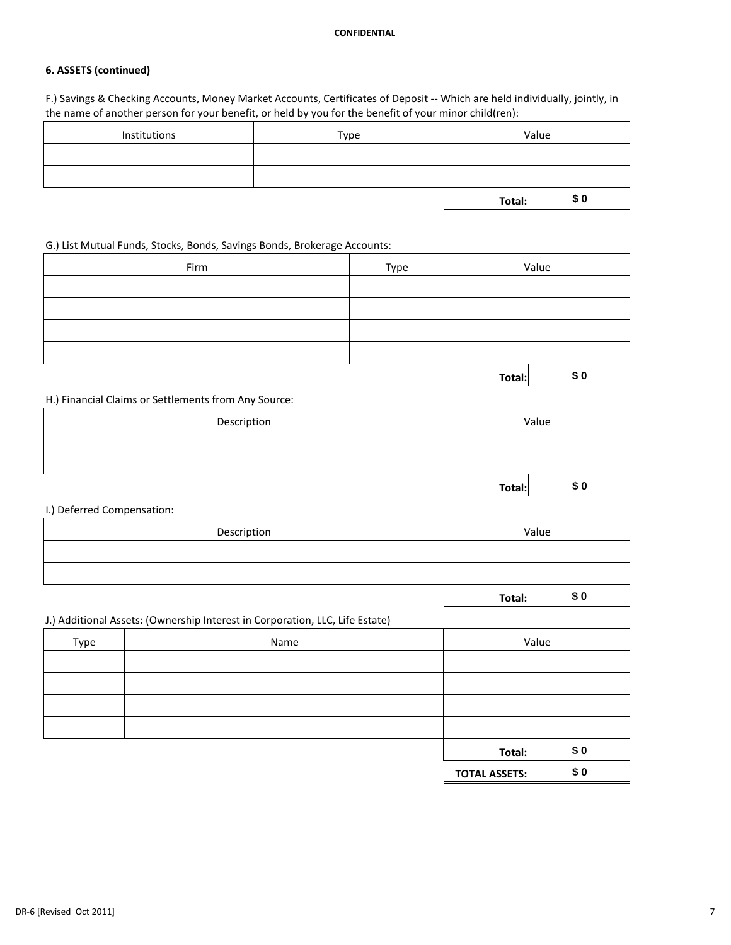## **6. ASSETS (continued)**

F.) Savings & Checking Accounts, Money Market Accounts, Certificates of Deposit -- Which are held individually, jointly, in the name of another person for your benefit, or held by you for the benefit of your minor child(ren):

| Institutions | Type | Value  |      |
|--------------|------|--------|------|
|              |      |        |      |
|              |      |        |      |
|              |      | Total: | \$ 0 |

### G.) List Mutual Funds, Stocks, Bonds, Savings Bonds, Brokerage Accounts:

| Firm | Type | Value  |     |
|------|------|--------|-----|
|      |      |        |     |
|      |      |        |     |
|      |      |        |     |
|      |      |        |     |
|      |      | Total: | \$0 |

H.) Financial Claims or Settlements from Any Source:

| Description | Value  |           |
|-------------|--------|-----------|
|             |        |           |
|             |        |           |
|             | Total: | <b>SO</b> |

I.) Deferred Compensation:

| Description | Value  |      |
|-------------|--------|------|
|             |        |      |
|             |        |      |
|             | Total: | \$ ዐ |

## J.) Additional Assets: (Ownership Interest in Corporation, LLC, Life Estate)

| Type | Name |        | Value         |
|------|------|--------|---------------|
|      |      |        |               |
|      |      |        |               |
|      |      |        |               |
|      |      |        |               |
|      |      | Total: | \$0           |
|      |      |        | $\sim$ $\sim$ |

**TOTAL ASSETS: \$ 0**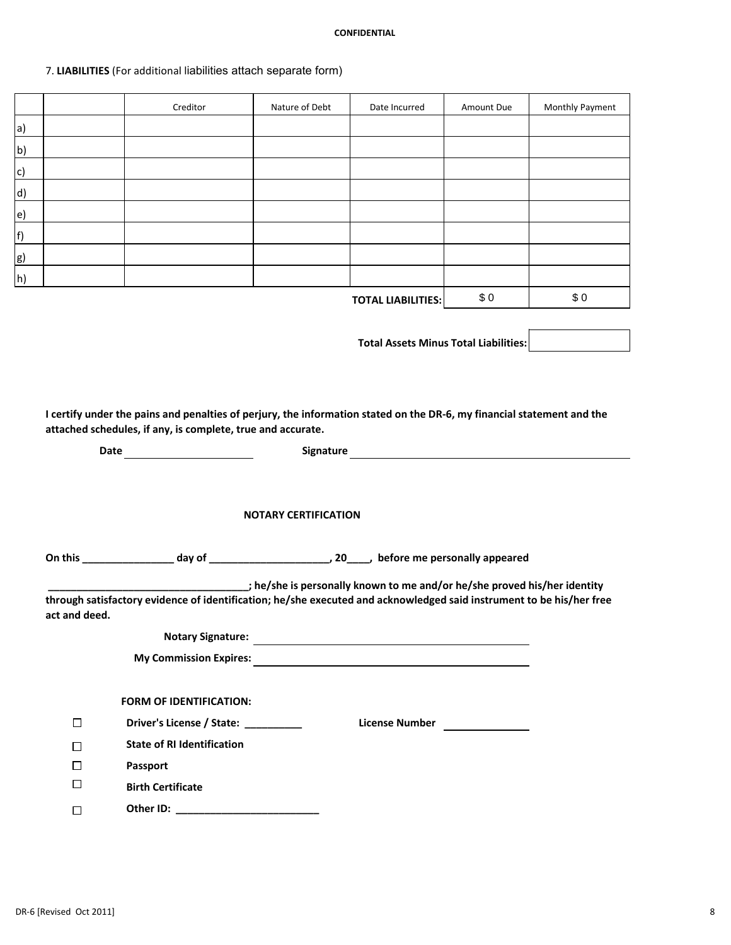# 7. **LIABILITIES** (For additional liabilities attach separate form)

|                          |                             | Creditor                                                                                                                                                                              | Nature of Debt | Date Incurred                                | Amount Due | Monthly Payment |  |  |  |  |
|--------------------------|-----------------------------|---------------------------------------------------------------------------------------------------------------------------------------------------------------------------------------|----------------|----------------------------------------------|------------|-----------------|--|--|--|--|
| a)                       |                             |                                                                                                                                                                                       |                |                                              |            |                 |  |  |  |  |
| <u>b)</u>                |                             |                                                                                                                                                                                       |                |                                              |            |                 |  |  |  |  |
| $\mathsf{C}\mathsf{)}$   |                             |                                                                                                                                                                                       |                |                                              |            |                 |  |  |  |  |
| $\underline{\mathsf{d}}$ |                             |                                                                                                                                                                                       |                |                                              |            |                 |  |  |  |  |
| e)                       |                             |                                                                                                                                                                                       |                |                                              |            |                 |  |  |  |  |
| f)                       |                             |                                                                                                                                                                                       |                |                                              |            |                 |  |  |  |  |
| <u>g)</u>                |                             |                                                                                                                                                                                       |                |                                              |            |                 |  |  |  |  |
| h)                       |                             |                                                                                                                                                                                       |                |                                              |            |                 |  |  |  |  |
|                          |                             |                                                                                                                                                                                       |                | <b>TOTAL LIABILITIES:</b>                    | \$0        | \$0             |  |  |  |  |
|                          |                             |                                                                                                                                                                                       |                |                                              |            |                 |  |  |  |  |
|                          |                             |                                                                                                                                                                                       |                | <b>Total Assets Minus Total Liabilities:</b> |            |                 |  |  |  |  |
|                          |                             |                                                                                                                                                                                       |                |                                              |            |                 |  |  |  |  |
|                          |                             |                                                                                                                                                                                       |                |                                              |            |                 |  |  |  |  |
|                          |                             |                                                                                                                                                                                       |                |                                              |            |                 |  |  |  |  |
|                          |                             | I certify under the pains and penalties of perjury, the information stated on the DR-6, my financial statement and the<br>attached schedules, if any, is complete, true and accurate. |                |                                              |            |                 |  |  |  |  |
|                          |                             |                                                                                                                                                                                       |                |                                              |            |                 |  |  |  |  |
| <b>Signature</b><br>Date |                             |                                                                                                                                                                                       |                |                                              |            |                 |  |  |  |  |
|                          |                             |                                                                                                                                                                                       |                |                                              |            |                 |  |  |  |  |
|                          |                             |                                                                                                                                                                                       |                |                                              |            |                 |  |  |  |  |
|                          | <b>NOTARY CERTIFICATION</b> |                                                                                                                                                                                       |                |                                              |            |                 |  |  |  |  |
|                          |                             |                                                                                                                                                                                       |                |                                              |            |                 |  |  |  |  |
|                          |                             |                                                                                                                                                                                       |                |                                              |            |                 |  |  |  |  |
|                          |                             | the/she is personally known to me and/or he/she proved his/her identity ( ) is a personally known to me and/or                                                                        |                |                                              |            |                 |  |  |  |  |
|                          | act and deed.               | through satisfactory evidence of identification; he/she executed and acknowledged said instrument to be his/her free                                                                  |                |                                              |            |                 |  |  |  |  |
|                          |                             |                                                                                                                                                                                       |                |                                              |            |                 |  |  |  |  |
|                          |                             |                                                                                                                                                                                       |                |                                              |            |                 |  |  |  |  |
|                          |                             |                                                                                                                                                                                       |                |                                              |            |                 |  |  |  |  |
|                          |                             | <b>FORM OF IDENTIFICATION:</b>                                                                                                                                                        |                |                                              |            |                 |  |  |  |  |
|                          | $\Box$                      | Driver's License / State: __________                                                                                                                                                  |                |                                              |            |                 |  |  |  |  |
|                          | $\Box$                      | <b>State of RI Identification</b>                                                                                                                                                     |                | License Number<br><u> </u>                   |            |                 |  |  |  |  |
|                          | $\Box$                      | <b>Passport</b>                                                                                                                                                                       |                |                                              |            |                 |  |  |  |  |
|                          | $\Box$                      | <b>Birth Certificate</b>                                                                                                                                                              |                |                                              |            |                 |  |  |  |  |
|                          |                             |                                                                                                                                                                                       |                |                                              |            |                 |  |  |  |  |
|                          | $\Box$                      |                                                                                                                                                                                       |                |                                              |            |                 |  |  |  |  |